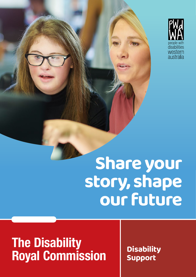

# **Share your story, shape our future**

# **The Disability Royal Commission Disability Disability**

**Support**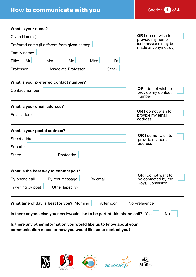## **How to communicate with you** Section 1 of 4

**What is your name?**

| Given Name(s):                                                                                                                      | <b>OR</b> I do not wish to<br>provide my name              |
|-------------------------------------------------------------------------------------------------------------------------------------|------------------------------------------------------------|
| Preferred name (if different from given name):                                                                                      | (submissions may be<br>made anyonymously)                  |
| Family name:                                                                                                                        |                                                            |
| Mr<br><b>Miss</b><br>Title:<br><b>Mrs</b><br>Ms<br>Dr                                                                               |                                                            |
| Professor<br><b>Associate Professor</b><br>Other                                                                                    |                                                            |
| What is your preferred contact number?                                                                                              |                                                            |
| Contact number:                                                                                                                     | <b>OR</b> I do not wish to<br>provide my contact<br>number |
| What is your email address?                                                                                                         |                                                            |
| Email address:                                                                                                                      | <b>OR</b> I do not wish to<br>provide my email<br>address  |
| What is your postal address?                                                                                                        |                                                            |
| Street address:                                                                                                                     | <b>OR</b> I do not wish to<br>provide my postal            |
| Suburb:                                                                                                                             | address                                                    |
| State:<br>Postcode:                                                                                                                 |                                                            |
| What is the best way to contact you?                                                                                                |                                                            |
| By phone call $\Box$<br>By text message <b>b</b> By email                                                                           | <b>OR</b> I do not want to<br>be contacted by the          |
| In writing by post<br>Other (specify)                                                                                               | Royal Comission                                            |
| What time of day is best for you? Morning<br>Afternoon                                                                              | No Preference                                              |
| Is there anyone else you need/would like to be part of this phone call? Yes                                                         | No                                                         |
| Is there any other information you would like us to know about your<br>communication needs or how you would like us to contact you? |                                                            |
|                                                                                                                                     |                                                            |
|                                                                                                                                     |                                                            |







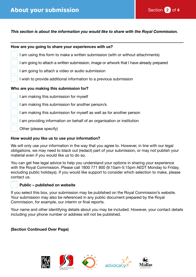

#### *This section is about the information you would like to share with the Royal Commission.*

| How are you going to share your experiences with us?                                     |
|------------------------------------------------------------------------------------------|
| I am using this form to make a written submission (with or without attachments)          |
| I am going to attach a written submission, image or artwork that I have already prepared |
| I am going to attach a video or audio submission                                         |
| I wish to provide additional information to a previous submission                        |
| Who are you making this submission for?                                                  |
| I am making this submission for myself                                                   |
| I am making this submission for another person/s                                         |
| I am making this submission for myself as well as for another person                     |
| I am providing information on behalf of an organisation or institution                   |
| Other (please specify)                                                                   |

#### **How would you like us to use your information?**

We will only use your information in the way that you agree to. However, in line with our legal obligations, we may need to black out (redact) part of your submission, or may not publish your material even if you would like us to do so.

You can get free legal advice to help you understand your options in sharing your experience with the Royal Commission. Please call 1800 771 800 (9:15am-5:15pm AEDT Monday to Friday, excluding public holidays). If you would like support to consider which selection to make, please contact us.

#### **Public – published on website**

If you select this box, your submission may be published on the Royal Commission's website. Your submission may also be referenced in any public document prepared by the Royal Commission, for example, our interim or final reports.

Your name and other identifying details about you may be included. However, your contact details including your phone number or address will not be published.

#### **(Section Continued Over Page)**







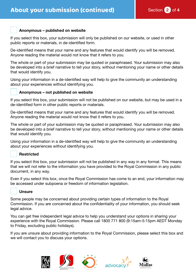#### **Anonymous – published on website**

If you select this box, your submission will only be published on our website, or used in other public reports or materials, in de-identified form.

De-identified means that your name and any features that would identify you will be removed. Anyone reading the material would not know that it refers to you.

The whole or part of your submission may be quoted or paraphrased. Your submission may also be developed into a brief narrative to tell your story, without mentioning your name or other details that would identify you.

Using your information in a de-identified way will help to give the community an understanding about your experiences without identifying you.

#### **Anonymous – not published on website**

If you select this box, your submission will not be published on our website, but may be used in a de-identified form in other public reports or materials.

De-identified means that your name and any features that would identify you will be removed. Anyone reading the material would not know that it refers to you.

The whole or part of your submission may be quoted or paraphrased. Your submission may also be developed into a brief narrative to tell your story, without mentioning your name or other details that would identify you.

Using your information in a de-identified way will help to give the community an understanding about your experiences without identifying you.

#### **Restricted**

If you select this box, your submission will not be published in any way in any format. This means that we will not refer to the information you have provided to the Royal Commission in any public document, in any way.

Even if you select this box, once the Royal Commission has come to an end, your information may be accessed under subpoena or freedom of information legislation.

#### **Unsure**

Some people may be concerned about providing certain types of information to the Royal Commission. If you are concerned about the confidentiality of your information, you should seek legal advice.

You can get free independent legal advice to help you understand your options in sharing your experience with the Royal Commission. Please call 1800 771 800 (9:15am-5:15pm AEDT Monday to Friday, excluding public holidays).

If you are unsure about providing information to the Royal Commission, please select this box and we will contact you to discuss your options.

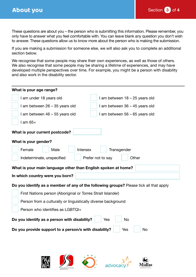These questions are about you – the person who is submitting this information. Please remember, you only have to answer what you feel comfortable with. You can leave blank any question you don't wish to answer. These questions allow us to know more about the person who is making the submission.

If you are making a submission for someone else, we will also ask you to complete an additional section below.

We recognise that some people may share their own experiences, as well as those of others. We also recognise that some people may be sharing a lifetime of experiences, and may have developed multiple perspectives over time. For example, you might be a person with disability and also work in the disability sector.

| What is your age range?                                                                          |  |
|--------------------------------------------------------------------------------------------------|--|
| I am under 18 years old<br>I am between 18 – 25 years old                                        |  |
| I am between 26 - 35 years old<br>I am between 36 - 45 years old                                 |  |
| I am between 46 - 55 years old<br>I am between 56 - 65 years old                                 |  |
| $l$ am $65+$                                                                                     |  |
| What is your current postcode?                                                                   |  |
| What is your gender?                                                                             |  |
| Female<br>Male<br>Intersex<br>Transgender                                                        |  |
| Other<br>Indeterminate, unspecified<br>Prefer not to say                                         |  |
| What is your main language other than English spoken at home?<br>In which country were you born? |  |
|                                                                                                  |  |
| Do you identify as a member of any of the following groups? Please tick all that apply           |  |
| First Nations person (Aboriginal or Torres Strait Islander)                                      |  |
| Person from a culturally or linguistically diverse background                                    |  |
| Person who identifies as LGBTQI+                                                                 |  |
| Do you identify as a person with disability?<br><b>No</b><br>Yes                                 |  |
| Do you provide support to a person/s with disability?<br><b>No</b><br>Yes                        |  |
|                                                                                                  |  |







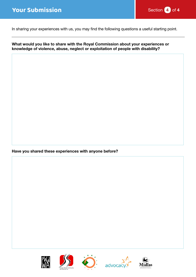### **Your Submission** Submission Section 4 **Section** 4 **of 4 Section**  $\overline{4}$  of 4



In sharing your experiences with us, you may find the following questions a useful starting point.

**What would you like to share with the Royal Commission about your experiences or knowledge of violence, abuse, neglect or exploitation of people with disability?**

**Have you shared these experiences with anyone before?**